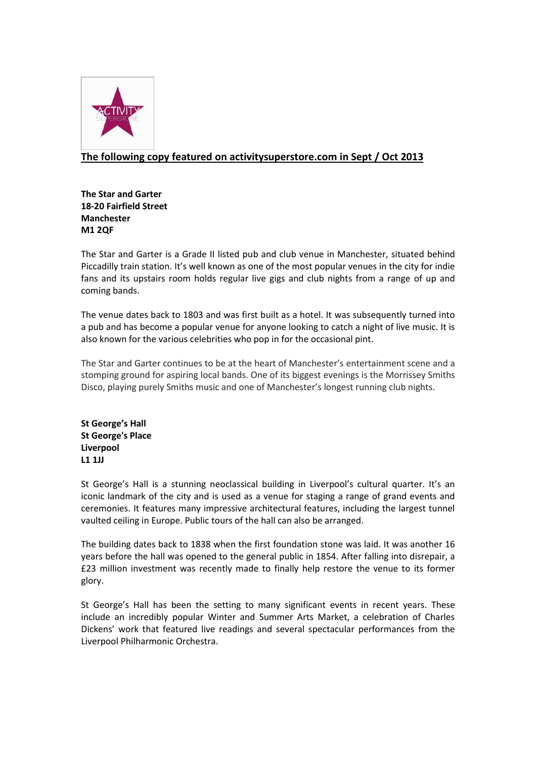

## **The following copy featured on activitysuperstore.com in Sept / Oct 2013**

**The Star and Garter 18-20 Fairfield Street Manchester M1 2QF**

The Star and Garter is a Grade II listed pub and club venue in Manchester, situated behind Piccadilly train station. It's well known as one of the most popular venues in the city for indie fans and its upstairs room holds regular live gigs and club nights from a range of up and coming bands.

The venue dates back to 1803 and was first built as a hotel. It was subsequently turned into a pub and has become a popular venue for anyone looking to catch a night of live music. It is also known for the various celebrities who pop in for the occasional pint.

The Star and Garter continues to be at the heart of Manchester's entertainment scene and a stomping ground for aspiring local bands. One of its biggest evenings is the Morrissey Smiths Disco, playing purely Smiths music and one of Manchester's longest running club nights.

**St George's Hall St George's Place Liverpool L1 1JJ**

St George's Hall is a stunning neoclassical building in Liverpool's cultural quarter. It's an iconic landmark of the city and is used as a venue for staging a range of grand events and ceremonies. It features many impressive architectural features, including the largest tunnel vaulted ceiling in Europe. Public tours of the hall can also be arranged.

The building dates back to 1838 when the first foundation stone was laid. It was another 16 years before the hall was opened to the general public in 1854. After falling into disrepair, a £23 million investment was recently made to finally help restore the venue to its former glory.

St George's Hall has been the setting to many significant events in recent years. These include an incredibly popular Winter and Summer Arts Market, a celebration of Charles Dickens' work that featured live readings and several spectacular performances from the Liverpool Philharmonic Orchestra.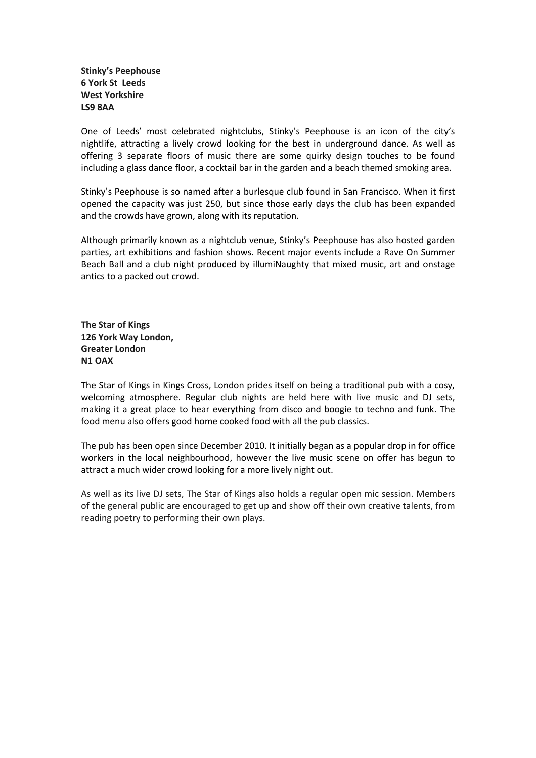**Stinky's Peephouse 6 York St Leeds West Yorkshire LS9 8AA**

One of Leeds' most celebrated nightclubs, Stinky's Peephouse is an icon of the city's nightlife, attracting a lively crowd looking for the best in underground dance. As well as offering 3 separate floors of music there are some quirky design touches to be found including a glass dance floor, a cocktail bar in the garden and a beach themed smoking area.

Stinky's Peephouse is so named after a burlesque club found in San Francisco. When it first opened the capacity was just 250, but since those early days the club has been expanded and the crowds have grown, along with its reputation.

Although primarily known as a nightclub venue, Stinky's Peephouse has also hosted garden parties, art exhibitions and fashion shows. Recent major events include a Rave On Summer Beach Ball and a club night produced by illumiNaughty that mixed music, art and onstage antics to a packed out crowd.

**The Star of Kings 126 York Way London, Greater London N1 OAX**

The Star of Kings in Kings Cross, London prides itself on being a traditional pub with a cosy, welcoming atmosphere. Regular club nights are held here with live music and DJ sets, making it a great place to hear everything from disco and boogie to techno and funk. The food menu also offers good home cooked food with all the pub classics.

The pub has been open since December 2010. It initially began as a popular drop in for office workers in the local neighbourhood, however the live music scene on offer has begun to attract a much wider crowd looking for a more lively night out.

As well as its live DJ sets, The Star of Kings also holds a regular open mic session. Members of the general public are encouraged to get up and show off their own creative talents, from reading poetry to performing their own plays.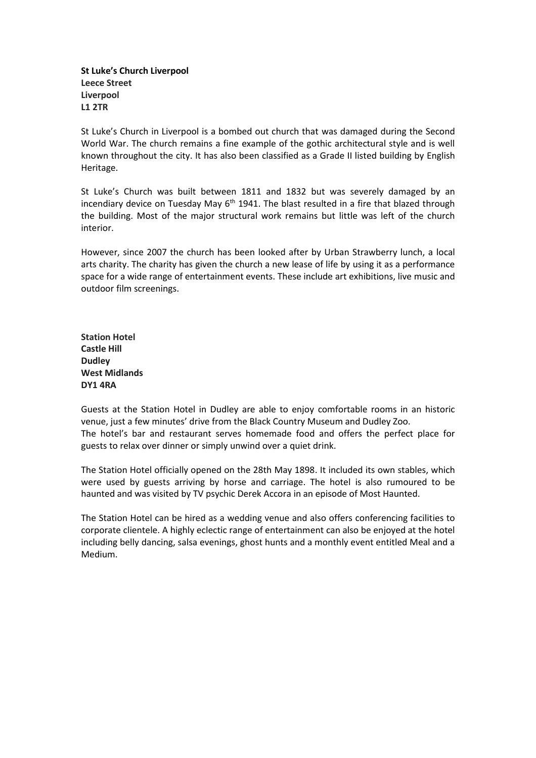**St Luke's Church Liverpool Leece Street Liverpool L1 2TR**

St Luke's Church in Liverpool is a bombed out church that was damaged during the Second World War. The church remains a fine example of the gothic architectural style and is well known throughout the city. It has also been classified as a Grade II listed building by English Heritage.

St Luke's Church was built between 1811 and 1832 but was severely damaged by an incendiary device on Tuesday May  $6<sup>th</sup>$  1941. The blast resulted in a fire that blazed through the building. Most of the major structural work remains but little was left of the church interior.

However, since 2007 the church has been looked after by Urban Strawberry lunch, a local arts charity. The charity has given the church a new lease of life by using it as a performance space for a wide range of entertainment events. These include art exhibitions, live music and outdoor film screenings.

**Station Hotel Castle Hill Dudley West Midlands DY1 4RA**

Guests at the Station Hotel in Dudley are able to enjoy comfortable rooms in an historic venue, just a few minutes' drive from the Black Country Museum and Dudley Zoo. The hotel's bar and restaurant serves homemade food and offers the perfect place for guests to relax over dinner or simply unwind over a quiet drink.

The Station Hotel officially opened on the 28th May 1898. It included its own stables, which were used by guests arriving by horse and carriage. The hotel is also rumoured to be haunted and was visited by TV psychic Derek Accora in an episode of Most Haunted.

The Station Hotel can be hired as a wedding venue and also offers conferencing facilities to corporate clientele. A highly eclectic range of entertainment can also be enjoyed at the hotel including belly dancing, salsa evenings, ghost hunts and a monthly event entitled Meal and a Medium.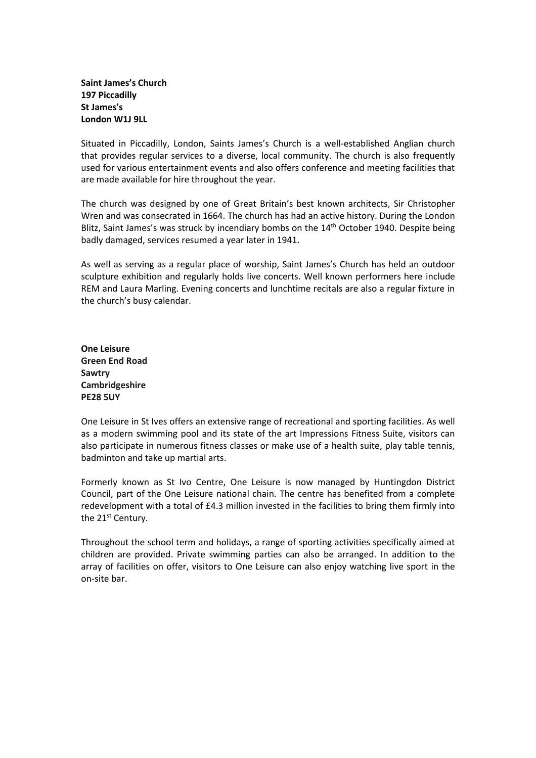**Saint James's Church 197 Piccadilly [St James's](http://www.londontown.com/LondonAreas/St+James%27s) London W1J 9LL**

Situated in Piccadilly, London, Saints James's Church is a well-established Anglian church that provides regular services to a diverse, local community. The church is also frequently used for various entertainment events and also offers conference and meeting facilities that are made available for hire throughout the year.

The church was designed by one of Great Britain's best known architects, Sir Christopher Wren and was consecrated in 1664. The church has had an active history. During the London Blitz, Saint James's was struck by incendiary bombs on the 14<sup>th</sup> October 1940. Despite being badly damaged, services resumed a year later in 1941.

As well as serving as a regular place of worship, Saint James's Church has held an outdoor sculpture exhibition and regularly holds live concerts. Well known performers here include REM and Laura Marling. Evening concerts and lunchtime recitals are also a regular fixture in the church's busy calendar.

**One Leisure Green End Road Sawtry Cambridgeshire PE28 5UY**

One Leisure in St Ives offers an extensive range of recreational and sporting facilities. As well as a modern swimming pool and its state of the art Impressions Fitness Suite, visitors can also participate in numerous fitness classes or make use of a health suite, play table tennis, badminton and take up martial arts.

Formerly known as St Ivo Centre, One Leisure is now managed by Huntingdon District Council, part of the One Leisure national chain. The centre has benefited from a complete redevelopment with a total of £4.3 million invested in the facilities to bring them firmly into the 21<sup>st</sup> Century.

Throughout the school term and holidays, a range of sporting activities specifically aimed at children are provided. Private swimming parties can also be arranged. In addition to the array of facilities on offer, visitors to One Leisure can also enjoy watching live sport in the on-site bar.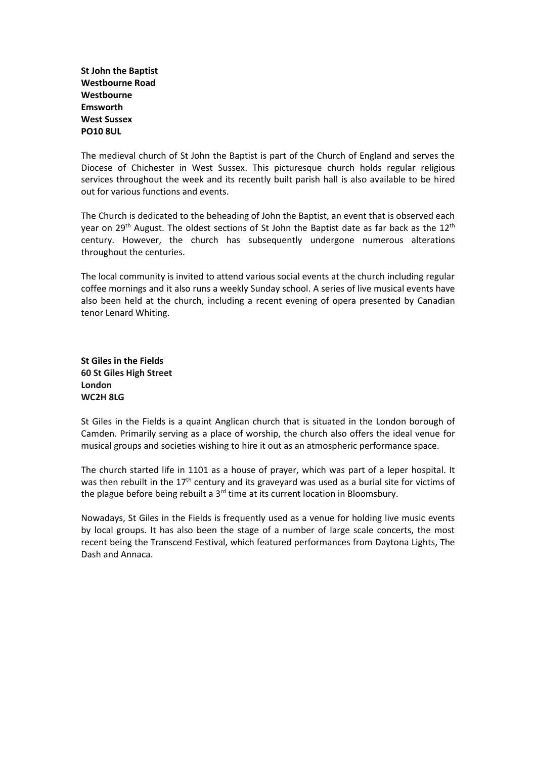**St John the Baptist Westbourne Road Westbourne Emsworth West Sussex PO10 8UL**

The medieval church of St John the Baptist is part of the Church of England and serves the Diocese of Chichester in West Sussex. This picturesque church holds regular religious services throughout the week and its recently built parish hall is also available to be hired out for various functions and events.

The Church is dedicated to the beheading of John the Baptist, an event that is observed each year on 29<sup>th</sup> August. The oldest sections of St John the Baptist date as far back as the 12<sup>th</sup> century. However, the church has subsequently undergone numerous alterations throughout the centuries.

The local community is invited to attend various social events at the church including regular coffee mornings and it also runs a weekly Sunday school. A series of live musical events have also been held at the church, including a recent evening of opera presented by Canadian tenor Lenard Whiting.

**St Giles in the Fields 60 St Giles High Street London WC2H 8LG**

St Giles in the Fields is a quaint Anglican church that is situated in the London borough of Camden. Primarily serving as a place of worship, the church also offers the ideal venue for musical groups and societies wishing to hire it out as an atmospheric performance space.

The church started life in 1101 as a house of prayer, which was part of a leper hospital. It was then rebuilt in the 17<sup>th</sup> century and its graveyard was used as a burial site for victims of the plague before being rebuilt a 3<sup>rd</sup> time at its current location in Bloomsbury.

Nowadays, St Giles in the Fields is frequently used as a venue for holding live music events by local groups. It has also been the stage of a number of large scale concerts, the most recent being the Transcend Festival, which featured performances from Daytona Lights, The Dash and Annaca.